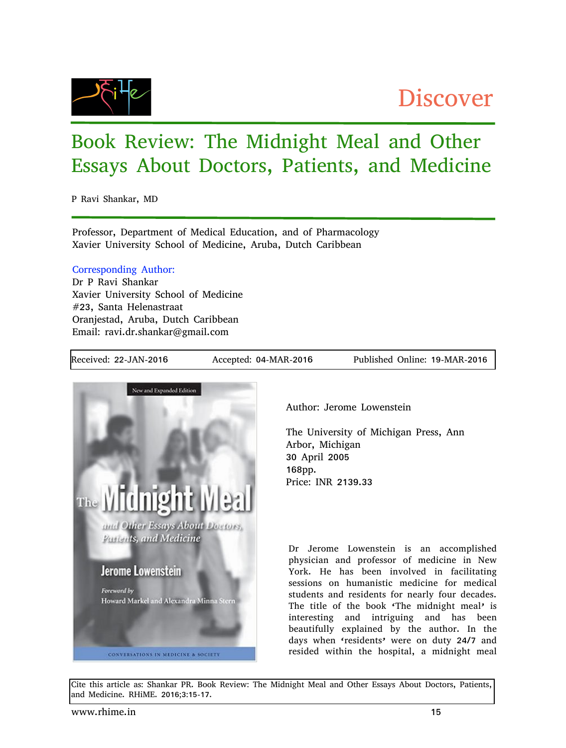

## Discover

## Book Review: The Midnight Meal and Other Essays About Doctors, Patients, and Medicine

P Ravi Shankar, MD

Professor, Department of Medical Education, and of Pharmacology Xavier University School of Medicine, Aruba, Dutch Caribbean

## Corresponding Author:

Dr P Ravi Shankar Xavier University School of Medicine #23, Santa Helenastraat Oranjestad, Aruba, Dutch Caribbean Email: ravi.dr.shankar@gmail.com

Received: 22-JAN-2016 Accepted: 04-MAR-2016 Published Online: 19-MAR-2016



Author: Jerome Lowenstein

The University of Michigan Press, Ann Arbor, Michigan 30 April 2005 168pp. Price: INR 2139.33

Dr Jerome Lowenstein is an accomplished physician and professor of medicine in New York. He has been involved in facilitating sessions on humanistic medicine for medical students and residents for nearly four decades. The title of the book 'The midnight meal' is interesting and intriguing and has been beautifully explained by the author. In the days when 'residents' were on duty 24/7 and resided within the hospital, a midnight meal

Cite this article as: Shankar PR. Book Review: The Midnight Meal and Other Essays About Doctors, Patients, and Medicine. RHiME. 2016;3:15-17.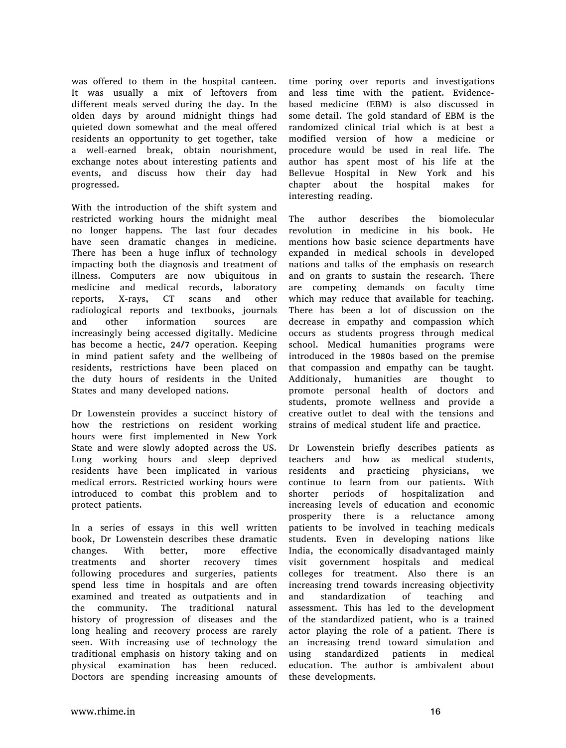was offered to them in the hospital canteen. It was usually a mix of leftovers from different meals served during the day. In the olden days by around midnight things had quieted down somewhat and the meal offered residents an opportunity to get together, take a well-earned break, obtain nourishment, exchange notes about interesting patients and events, and discuss how their day had progressed.

With the introduction of the shift system and restricted working hours the midnight meal no longer happens. The last four decades have seen dramatic changes in medicine. There has been a huge influx of technology impacting both the diagnosis and treatment of illness. Computers are now ubiquitous in medicine and medical records, laboratory reports, X-rays, CT scans and other radiological reports and textbooks, journals and other information sources are increasingly being accessed digitally. Medicine has become a hectic, 24/7 operation. Keeping in mind patient safety and the wellbeing of residents, restrictions have been placed on the duty hours of residents in the United States and many developed nations.

Dr Lowenstein provides a succinct history of how the restrictions on resident working hours were first implemented in New York State and were slowly adopted across the US. Long working hours and sleep deprived residents have been implicated in various medical errors. Restricted working hours were introduced to combat this problem and to protect patients.

In a series of essays in this well written book, Dr Lowenstein describes these dramatic changes. With better, more effective treatments and shorter recovery times following procedures and surgeries, patients spend less time in hospitals and are often examined and treated as outpatients and in the community. The traditional natural history of progression of diseases and the long healing and recovery process are rarely seen. With increasing use of technology the traditional emphasis on history taking and on physical examination has been reduced. Doctors are spending increasing amounts of

time poring over reports and investigations and less time with the patient. Evidencebased medicine (EBM) is also discussed in some detail. The gold standard of EBM is the randomized clinical trial which is at best a modified version of how a medicine or procedure would be used in real life. The author has spent most of his life at the Bellevue Hospital in New York and his chapter about the hospital makes for interesting reading.

The author describes the biomolecular revolution in medicine in his book. He mentions how basic science departments have expanded in medical schools in developed nations and talks of the emphasis on research and on grants to sustain the research. There are competing demands on faculty time which may reduce that available for teaching. There has been a lot of discussion on the decrease in empathy and compassion which occurs as students progress through medical school. Medical humanities programs were introduced in the 1980s based on the premise that compassion and empathy can be taught. Additionaly, humanities are thought to promote personal health of doctors and students, promote wellness and provide a creative outlet to deal with the tensions and strains of medical student life and practice.

Dr Lowenstein briefly describes patients as teachers and how as medical students, residents and practicing physicians, we continue to learn from our patients. With shorter periods of hospitalization and increasing levels of education and economic prosperity there is a reluctance among patients to be involved in teaching medicals students. Even in developing nations like India, the economically disadvantaged mainly visit government hospitals and medical colleges for treatment. Also there is an increasing trend towards increasing objectivity and standardization of teaching and assessment. This has led to the development of the standardized patient, who is a trained actor playing the role of a patient. There is an increasing trend toward simulation and using standardized patients in medical education. The author is ambivalent about these developments.